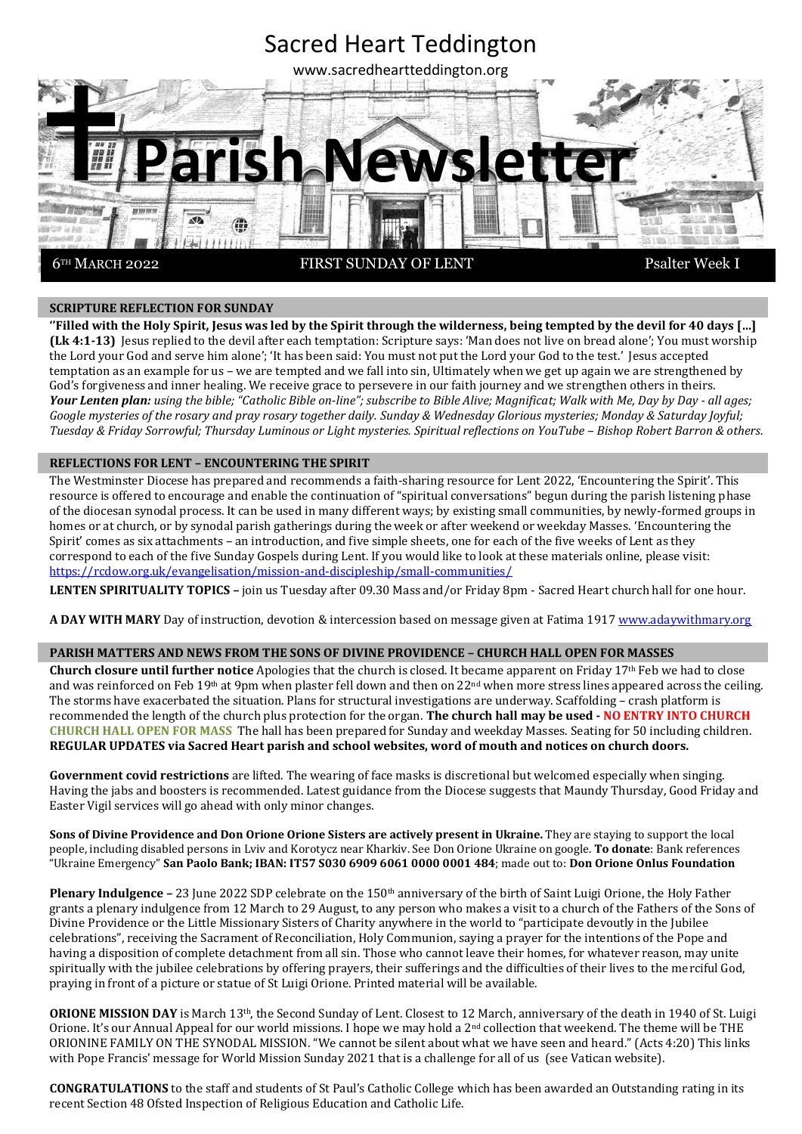

### **SCRIPTURE REFLECTION FOR SUNDAY**

**''Filled with the Holy Spirit, Jesus was led by the Spirit through the wilderness, being tempted by the devil for 40 days […] (Lk 4:1-13)** Jesus replied to the devil after each temptation: Scripture says: 'Man does not live on bread alone'; You must worship the Lord your God and serve him alone'; 'It has been said: You must not put the Lord your God to the test.' Jesus accepted temptation as an example for us – we are tempted and we fall into sin, Ultimately when we get up again we are strengthened by God's forgiveness and inner healing. We receive grace to persevere in our faith journey and we strengthen others in theirs. Your Lenten plan: using the bible; "Catholic Bible on-line"; subscribe to Bible Alive; Magnificat; Walk with Me, Day by Day - all ages; *Google mysteries of the rosary and pray rosary together daily. Sunday & Wednesday Glorious mysteries; Monday & Saturday Joyful; Tuesday & Friday Sorrowful; Thursday Luminous or Light mysteries. Spiritual reflections on YouTube – Bishop Robert Barron & others.*

#### **REFLECTIONS FOR LENT – ENCOUNTERING THE SPIRIT**

The Westminster Diocese has prepared and recommends a faith-sharing resource for Lent 2022, 'Encountering the Spirit'. This resource is offered to encourage and enable the continuation of "spiritual conversations" begun during the parish listening phase of the diocesan synodal process. It can be used in many different ways; by existing small communities, by newly-formed groups in homes or at church, or by synodal parish gatherings during the week or after weekend or weekday Masses. 'Encountering the Spirit' comes as six attachments – an introduction, and five simple sheets, one for each of the five weeks of Lent as they correspond to each of the five Sunday Gospels during Lent. If you would like to look at these materials online, please visit: <https://rcdow.org.uk/evangelisation/mission-and-discipleship/small-communities/>

**LENTEN SPIRITUALITY TOPICS –** join us Tuesday after 09.30 Mass and/or Friday 8pm - Sacred Heart church hall for one hour.

**A DAY WITH MARY** Day of instruction, devotion & intercession based on message given at Fatima 1917 [www.adaywithmary.org](http://www.adaywithmary.org/)

#### **PARISH MATTERS AND NEWS FROM THE SONS OF DIVINE PROVIDENCE – CHURCH HALL OPEN FOR MASSES**

**Church closure until further notice** Apologies that the church is closed. It became apparent on Friday 17th Feb we had to close and was reinforced on Feb 19<sup>th</sup> at 9pm when plaster fell down and then on 22<sup>nd</sup> when more stress lines appeared across the ceiling. The storms have exacerbated the situation. Plans for structural investigations are underway. Scaffolding – crash platform is recommended the length of the church plus protection for the organ. **The church hall may be used - NO ENTRY INTO CHURCH CHURCH HALL OPEN FOR MASS** The hall has been prepared for Sunday and weekday Masses. Seating for 50 including children. **REGULAR UPDATES via Sacred Heart parish and school websites, word of mouth and notices on church doors.**

**Government covid restrictions** are lifted. The wearing of face masks is discretional but welcomed especially when singing. Having the jabs and boosters is recommended. Latest guidance from the Diocese suggests that Maundy Thursday, Good Friday and Easter Vigil services will go ahead with only minor changes.

**Sons of Divine Providence and Don Orione Orione Sisters are actively present in Ukraine.** They are staying to support the local people, including disabled persons in Lviv and Korotycz near Kharkiv. See Don Orione Ukraine on google. **To donate**: Bank references "Ukraine Emergency" **San Paolo Bank; IBAN: IT57 S030 6909 6061 0000 0001 484**; made out to: **Don Orione Onlus Foundation**

**Plenary Indulgence – 23** June 2022 SDP celebrate on the 150<sup>th</sup> anniversary of the birth of Saint Luigi Orione, the Holy Father grants a plenary indulgence from 12 March to 29 August, to any person who makes a visit to a church of the Fathers of the Sons of Divine Providence or the Little Missionary Sisters of Charity anywhere in the world to "participate devoutly in the Jubilee celebrations", receiving the Sacrament of Reconciliation, Holy Communion, saying a prayer for the intentions of the Pope and having a disposition of complete detachment from all sin. Those who cannot leave their homes, for whatever reason, may unite spiritually with the jubilee celebrations by offering prayers, their sufferings and the difficulties of their lives to the merciful God, praying in front of a picture or statue of St Luigi Orione. Printed material will be available.

**ORIONE MISSION DAY** is March 13th, the Second Sunday of Lent. Closest to 12 March, anniversary of the death in 1940 of St. Luigi Orione. It's our Annual Appeal for our world missions. I hope we may hold a  $2<sup>nd</sup>$  collection that weekend. The theme will be THE ORIONINE FAMILY ON THE SYNODAL MISSION. "We cannot be silent about what we have seen and heard." (Acts 4:20) This links with Pope Francis' message for World Mission Sunday 2021 that is a challenge for all of us (see Vatican website).

**CONGRATULATIONS** to the staff and students of St Paul's Catholic College which has been awarded an Outstanding rating in its recent Section 48 Ofsted Inspection of Religious Education and Catholic Life.